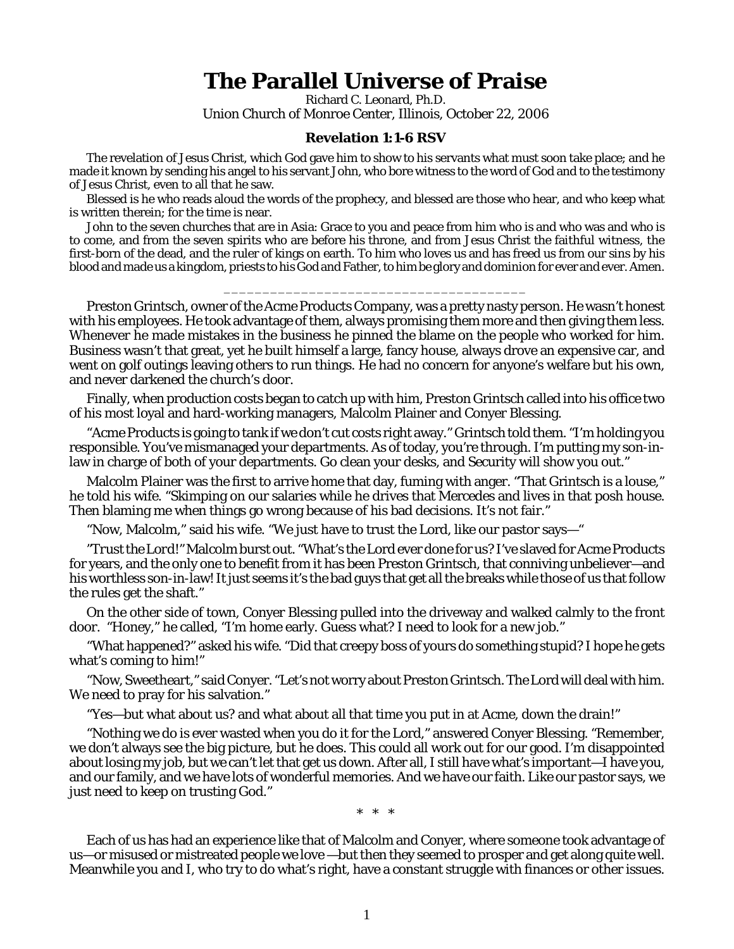## **The Parallel Universe of Praise**

Richard C. Leonard, Ph.D. Union Church of Monroe Center, Illinois, October 22, 2006

## **Revelation 1:1-6 RSV**

The revelation of Jesus Christ, which God gave him to show to his servants what must soon take place; and he made it known by sending his angel to his servant John, who bore witness to the word of God and to the testimony of Jesus Christ, even to all that he saw.

Blessed is he who reads aloud the words of the prophecy, and blessed are those who hear, and who keep what is written therein; for the time is near.

John to the seven churches that are in Asia: Grace to you and peace from him who is and who was and who is to come, and from the seven spirits who are before his throne, and from Jesus Christ the faithful witness, the first-born of the dead, and the ruler of kings on earth. To him who loves us and has freed us from our sins by his blood and made us a kingdom, priests to his God and Father, to him be glory and dominion for ever and ever. Amen.

\_\_\_\_\_\_\_\_\_\_\_\_\_\_\_\_\_\_\_\_\_\_\_\_\_\_\_\_\_\_\_\_\_\_\_\_\_\_\_

Preston Grintsch, owner of the Acme Products Company, was a pretty nasty person. He wasn't honest with his employees. He took advantage of them, always promising them more and then giving them less. Whenever he made mistakes in the business he pinned the blame on the people who worked for him. Business wasn't that great, yet he built himself a large, fancy house, always drove an expensive car, and went on golf outings leaving others to run things. He had no concern for anyone's welfare but his own, and never darkened the church's door.

Finally, when production costs began to catch up with him, Preston Grintsch called into his office two of his most loyal and hard-working managers, Malcolm Plainer and Conyer Blessing.

"Acme Products is going to tank if we don't cut costs right away." Grintsch told them. "I'm holding you responsible. You've mismanaged your departments. As of today, you're through. I'm putting my son-inlaw in charge of both of your departments. Go clean your desks, and Security will show you out."

Malcolm Plainer was the first to arrive home that day, fuming with anger. "That Grintsch is a louse," he told his wife. "Skimping on our salaries while he drives that Mercedes and lives in that posh house. Then blaming me when things go wrong because of *his* bad decisions. It's not fair."

"Now, Malcolm," said his wife. "We just have to trust the Lord, like our pastor says—"

*"Trust the Lord!"* Malcolm burst out. "What's the Lord ever done for us? I've slaved for Acme Products for years, and the only one to benefit from it has been Preston Grintsch, that conniving unbeliever—and his worthless son-in-law! It just seems it's the bad guys that get all the breaks while those of us that follow the rules get the shaft."

On the other side of town, Conyer Blessing pulled into the driveway and walked calmly to the front door. "Honey," he called, "I'm home early. Guess what? I need to look for a new job."

"What happened?" asked his wife. "Did that creepy boss of yours do something stupid? I hope he gets what's coming to him!"

"Now, Sweetheart," said Conyer. "Let's not worry about Preston Grintsch. The Lord will deal with *him*. We need to pray for his salvation."

"Yes—but what about us? and what about all that time you put in at Acme, down the drain!"

"Nothing we do is ever wasted when you do it for the Lord," answered Conyer Blessing. "Remember, we don't always see the big picture, but he does. This could all work out for our good. I'm disappointed about losing my job, but we can't let that get us down. After all, I still have what's important—I have you, and our family, and we have lots of wonderful memories. And we have our faith. Like our pastor says, we just need to keep on trusting God."

\* \* \*

Each of us has had an experience like that of Malcolm and Conyer, where someone took advantage of us—or misused or mistreated people we love —but then they seemed to prosper and get along quite well. Meanwhile you and I, who try to do what's right, have a constant struggle with finances or other issues.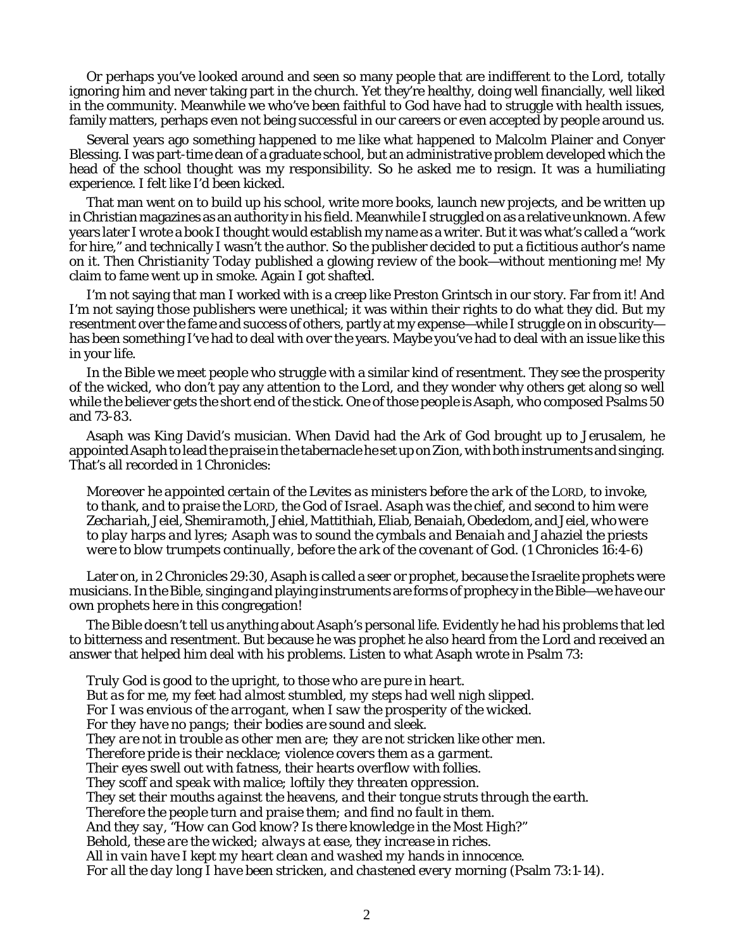Or perhaps you've looked around and seen so many people that are indifferent to the Lord, totally ignoring him and never taking part in the church. Yet they're healthy, doing well financially, well liked in the community. Meanwhile we who've been faithful to God have had to struggle with health issues, family matters, perhaps even not being successful in our careers or even accepted by people around us.

Several years ago something happened to me like what happened to Malcolm Plainer and Conyer Blessing. I was part-time dean of a graduate school, but an administrative problem developed which the head of the school thought was my responsibility. So he asked me to resign. It was a humiliating experience. I felt like I'd been kicked.

That man went on to build up his school, write more books, launch new projects, and be written up in Christian magazines as an authority in his field. Meanwhile I struggled on as a relative unknown. A few years later I wrote a book I thought would establish my name as a writer. But it was what's called a "work for hire," and technically I wasn't the author. So the publisher decided to put a fictitious author's name on it. Then *Christianity Today* published a glowing review of the book—without mentioning me! My claim to fame went up in smoke. Again I got shafted.

I'm not saying that man I worked with is a creep like Preston Grintsch in our story. Far from it! And I'm not saying those publishers were unethical; it was within their rights to do what they did. But my resentment over the fame and success of others, partly at my expense—while I struggle on in obscurity has been something I've had to deal with over the years. Maybe you've had to deal with an issue like this in your life.

In the Bible we meet people who struggle with a similar kind of resentment. They see the prosperity of the wicked, who don't pay any attention to the Lord, and they wonder why others get along so well while the believer gets the short end of the stick. One of those people is Asaph, who composed Psalms 50 and 73-83.

Asaph was King David's musician. When David had the Ark of God brought up to Jerusalem, he appointed Asaph to lead the praise in the tabernacle he set up on Zion, with both instruments and singing. That's all recorded in 1 Chronicles:

*Moreover he appointed certain of the Levites as ministers before the ark of the LORD, to invoke, to thank, and to praise the LORD, the God of Israel. Asaph was the chief, and second to him were Zechariah, Jeiel, Shemiramoth, Jehiel, Mattithiah, Eliab, Benaiah, Obededom, and Jeiel, who were to play harps and lyres; Asaph was to sound the cymbals and Benaiah and Jahaziel the priests were to blow trumpets continually, before the ark of the covenant of God.* (1 Chronicles 16:4-6)

Later on, in 2 Chronicles 29:30, Asaph is called a *seer* or prophet, because the Israelite prophets were musicians. In the Bible, singing and playing instruments are forms of prophecy in the Bible—we have our own prophets here in this congregation!

The Bible doesn't tell us anything about Asaph's personal life. Evidently he had his problems that led to bitterness and resentment. But because he was prophet he also heard from the Lord and received an answer that helped him deal with his problems. Listen to what Asaph wrote in Psalm 73:

*Truly God is good to the upright, to those who are pure in heart. But as for me, my feet had almost stumbled, my steps had well nigh slipped. For I was envious of the arrogant, when I saw the prosperity of the wicked. For they have no pangs; their bodies are sound and sleek. They are not in trouble as other men are; they are not stricken like other men. Therefore pride is their necklace; violence covers them as a garment. Their eyes swell out with fatness, their hearts overflow with follies. They scoff and speak with malice; loftily they threaten oppression. They set their mouths against the heavens, and their tongue struts through the earth. Therefore the people turn and praise them; and find no fault in them. And they say, "How can God know? Is there knowledge in the Most High?" Behold, these are the wicked; always at ease, they increase in riches. All in vain have I kept my heart clean and washed my hands in innocence. For all the day long I have been stricken, and chastened every morning (Psalm 73:1-14).*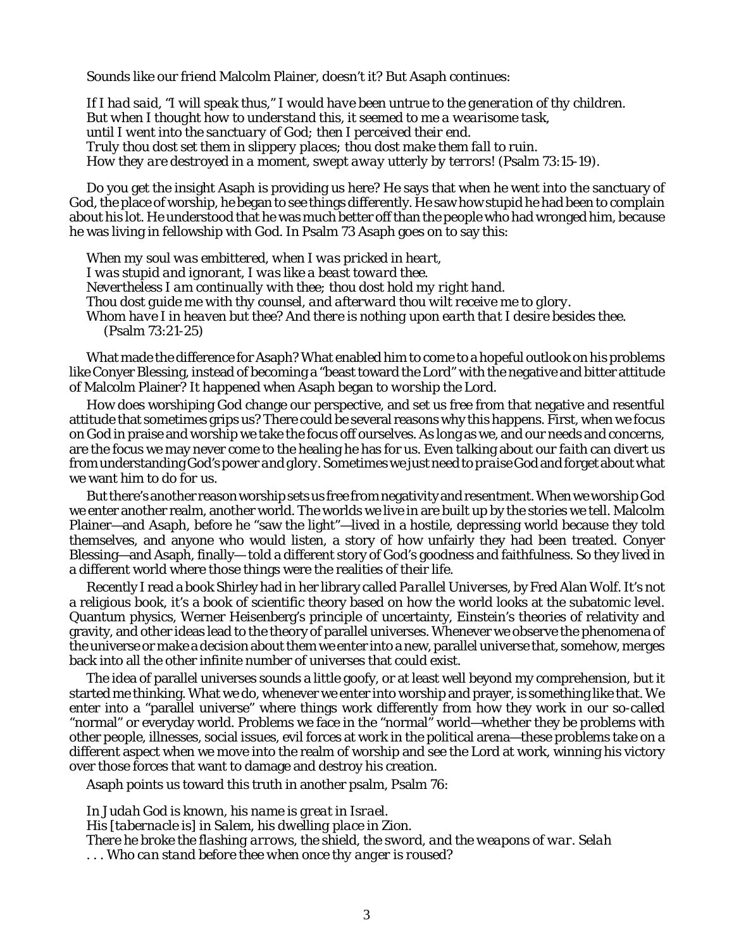Sounds like our friend Malcolm Plainer, doesn't it? But Asaph continues:

*If I had said, "I will speak thus," I would have been untrue to the generation of thy children. But when I thought how to understand this, it seemed to me a wearisome task, until I went into the sanctuary of God; then I perceived their end. Truly thou dost set them in slippery places; thou dost make them fall to ruin. How they are destroyed in a moment, swept away utterly by terrors!* (Psalm 73:15-19).

Do you get the insight Asaph is providing us here? He says that when he went into the sanctuary of God, the place of worship, he began to see things differently. He saw how stupid he had been to complain about his lot. He understood that he was much better off than the people who had wronged him, because he was living in fellowship with God. In Psalm 73 Asaph goes on to say this:

*When my soul was embittered, when I was pricked in heart, I was stupid and ignorant, I was like a beast toward thee. Nevertheless I am continually with thee; thou dost hold my right hand. Thou dost guide me with thy counsel, and afterward thou wilt receive me to glory. Whom have I in heaven but thee? And there is nothing upon earth that I desire besides thee.* (Psalm 73:21-25)

What made the difference for Asaph? What enabled him to come to a hopeful outlook on his problems like Conyer Blessing, instead of becoming a "beast toward the Lord" with the negative and bitter attitude of Malcolm Plainer? It happened when Asaph began to *worship the Lord.*

How does worshiping God change our perspective, and set us free from that negative and resentful attitude that sometimes grips us? There could be several reasons why this happens. First, when we focus on God in praise and worship we take the focus off ourselves. As long as we, and our needs and concerns, are the focus we may never come to the healing he has for us. Even talking about *our faith* can divert us from understanding *God's power and glory.* Sometimes we just need to *praise God* and forget about what we want him to do *for us*.

But there's another reason worship sets us free from negativity and resentment. When we worship God we enter another realm, another world. The worlds we live in are built up by the stories we tell. Malcolm Plainer—and Asaph, before he "saw the light"—lived in a hostile, depressing world because they told themselves, and anyone who would listen, a story of how unfairly they had been treated. Conyer Blessing—and Asaph, finally— told a different story of God's goodness and faithfulness. So they lived in a different world where those things were the realities of their life.

Recently I read a book Shirley had in her library called *Parallel Universes*, by Fred Alan Wolf. It's not a religious book, it's a book of scientific theory based on how the world looks at the subatomic level. Quantum physics, Werner Heisenberg's principle of uncertainty, Einstein's theories of relativity and gravity, and other ideas lead to the theory of parallel universes. Whenever we observe the phenomena of the universe or make a decision about them we enter into a new, parallel universe that, somehow, merges back into all the other infinite number of universes that could exist.

The idea of parallel universes sounds a little goofy, or at least well beyond my comprehension, but it started me thinking. What we do, whenever we enter into worship and prayer, is something like that. We enter into a "parallel universe" where things work differently from how they work in our so-called "normal" or everyday world. Problems we face in the "normal" world—whether they be problems with other people, illnesses, social issues, evil forces at work in the political arena—these problems take on a different aspect when we move into the realm of worship and see the Lord at work, winning his victory over those forces that want to damage and destroy his creation.

Asaph points us toward this truth in another psalm, Psalm 76:

*In Judah God is known, his name is great in Israel. His [tabernacle is] in Salem, his dwelling place in Zion. There he broke the flashing arrows, the shield, the sword, and the weapons of war. Selah . . . Who can stand before thee when once thy anger is roused?*